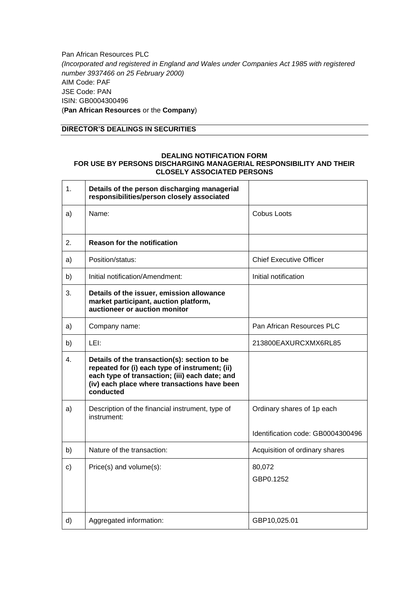Pan African Resources PLC *(Incorporated and registered in England and Wales under Companies Act 1985 with registered number 3937466 on 25 February 2000)* AIM Code: PAF JSE Code: PAN ISIN: GB0004300496 (**Pan African Resources** or the **Company**)

## **DIRECTOR'S DEALINGS IN SECURITIES**

## **DEALING NOTIFICATION FORM FOR USE BY PERSONS DISCHARGING MANAGERIAL RESPONSIBILITY AND THEIR CLOSELY ASSOCIATED PERSONS**

| 1. | Details of the person discharging managerial<br>responsibilities/person closely associated                                                                                                                    |                                   |
|----|---------------------------------------------------------------------------------------------------------------------------------------------------------------------------------------------------------------|-----------------------------------|
| a) | Name:                                                                                                                                                                                                         | Cobus Loots                       |
| 2. | <b>Reason for the notification</b>                                                                                                                                                                            |                                   |
| a) | Position/status:                                                                                                                                                                                              | <b>Chief Executive Officer</b>    |
| b) | Initial notification/Amendment:                                                                                                                                                                               | Initial notification              |
| 3. | Details of the issuer, emission allowance<br>market participant, auction platform,<br>auctioneer or auction monitor                                                                                           |                                   |
| a) | Company name:                                                                                                                                                                                                 | Pan African Resources PLC         |
| b) | LEI:                                                                                                                                                                                                          | 213800EAXURCXMX6RL85              |
| 4. | Details of the transaction(s): section to be<br>repeated for (i) each type of instrument; (ii)<br>each type of transaction; (iii) each date; and<br>(iv) each place where transactions have been<br>conducted |                                   |
| a) | Description of the financial instrument, type of<br>instrument:                                                                                                                                               | Ordinary shares of 1p each        |
|    |                                                                                                                                                                                                               | Identification code: GB0004300496 |
| b) | Nature of the transaction:                                                                                                                                                                                    | Acquisition of ordinary shares    |
| c) | Price(s) and volume(s):                                                                                                                                                                                       | 80,072<br>GBP0.1252               |
| d) | Aggregated information:                                                                                                                                                                                       | GBP10,025.01                      |